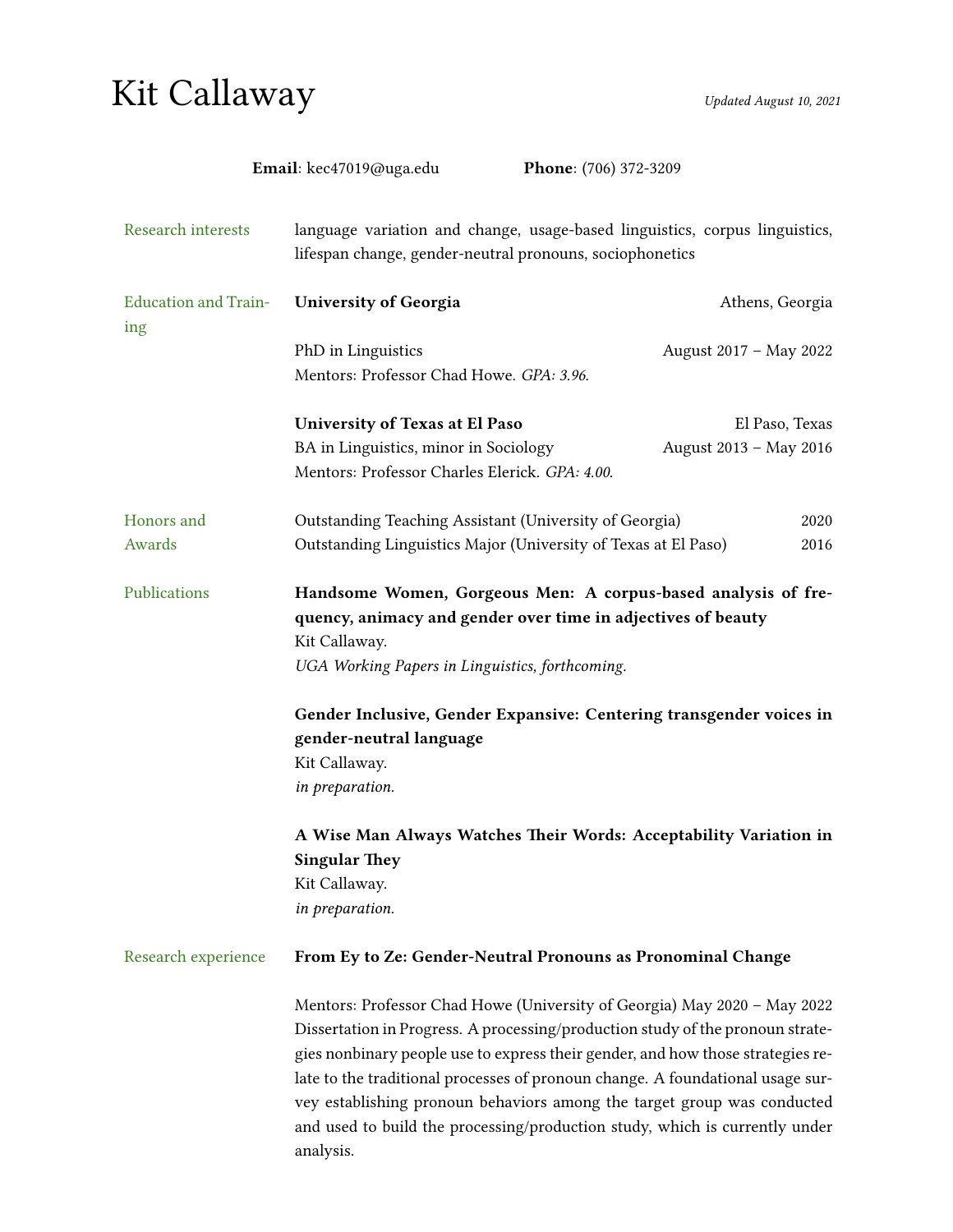# Kit Callaway Updated August 10, 2021

|                                    | Email: kec47019@uga.edu                                                                                                                                                                           | Phone: (706) 372-3209                                                                                                                                                                                                                                                                                                                                                                                                                                                                     |                 |
|------------------------------------|---------------------------------------------------------------------------------------------------------------------------------------------------------------------------------------------------|-------------------------------------------------------------------------------------------------------------------------------------------------------------------------------------------------------------------------------------------------------------------------------------------------------------------------------------------------------------------------------------------------------------------------------------------------------------------------------------------|-----------------|
| Research interests                 | language variation and change, usage-based linguistics, corpus linguistics,<br>lifespan change, gender-neutral pronouns, sociophonetics                                                           |                                                                                                                                                                                                                                                                                                                                                                                                                                                                                           |                 |
| <b>Education and Train-</b><br>ing | <b>University of Georgia</b>                                                                                                                                                                      |                                                                                                                                                                                                                                                                                                                                                                                                                                                                                           | Athens, Georgia |
|                                    | PhD in Linguistics                                                                                                                                                                                | August 2017 - May 2022                                                                                                                                                                                                                                                                                                                                                                                                                                                                    |                 |
|                                    | Mentors: Professor Chad Howe. GPA: 3.96.                                                                                                                                                          |                                                                                                                                                                                                                                                                                                                                                                                                                                                                                           |                 |
|                                    | University of Texas at El Paso                                                                                                                                                                    |                                                                                                                                                                                                                                                                                                                                                                                                                                                                                           | El Paso, Texas  |
|                                    | BA in Linguistics, minor in Sociology<br>Mentors: Professor Charles Elerick. GPA: 4.00.                                                                                                           | August 2013 - May 2016                                                                                                                                                                                                                                                                                                                                                                                                                                                                    |                 |
| Honors and                         | Outstanding Teaching Assistant (University of Georgia)<br>2020                                                                                                                                    |                                                                                                                                                                                                                                                                                                                                                                                                                                                                                           |                 |
| Awards                             | Outstanding Linguistics Major (University of Texas at El Paso)                                                                                                                                    |                                                                                                                                                                                                                                                                                                                                                                                                                                                                                           | 2016            |
| Publications                       | Handsome Women, Gorgeous Men: A corpus-based analysis of fre-<br>quency, animacy and gender over time in adjectives of beauty<br>Kit Callaway.<br>UGA Working Papers in Linguistics, forthcoming. |                                                                                                                                                                                                                                                                                                                                                                                                                                                                                           |                 |
|                                    | gender-neutral language<br>Kit Callaway.<br>in preparation.                                                                                                                                       | Gender Inclusive, Gender Expansive: Centering transgender voices in                                                                                                                                                                                                                                                                                                                                                                                                                       |                 |
|                                    | <b>Singular They</b><br>Kit Callaway.                                                                                                                                                             | A Wise Man Always Watches Their Words: Acceptability Variation in                                                                                                                                                                                                                                                                                                                                                                                                                         |                 |
|                                    | in preparation.                                                                                                                                                                                   |                                                                                                                                                                                                                                                                                                                                                                                                                                                                                           |                 |
| Research experience                | From Ey to Ze: Gender-Neutral Pronouns as Pronominal Change                                                                                                                                       |                                                                                                                                                                                                                                                                                                                                                                                                                                                                                           |                 |
|                                    | analysis.                                                                                                                                                                                         | Mentors: Professor Chad Howe (University of Georgia) May 2020 - May 2022<br>Dissertation in Progress. A processing/production study of the pronoun strate-<br>gies nonbinary people use to express their gender, and how those strategies re-<br>late to the traditional processes of pronoun change. A foundational usage sur-<br>vey establishing pronoun behaviors among the target group was conducted<br>and used to build the processing/production study, which is currently under |                 |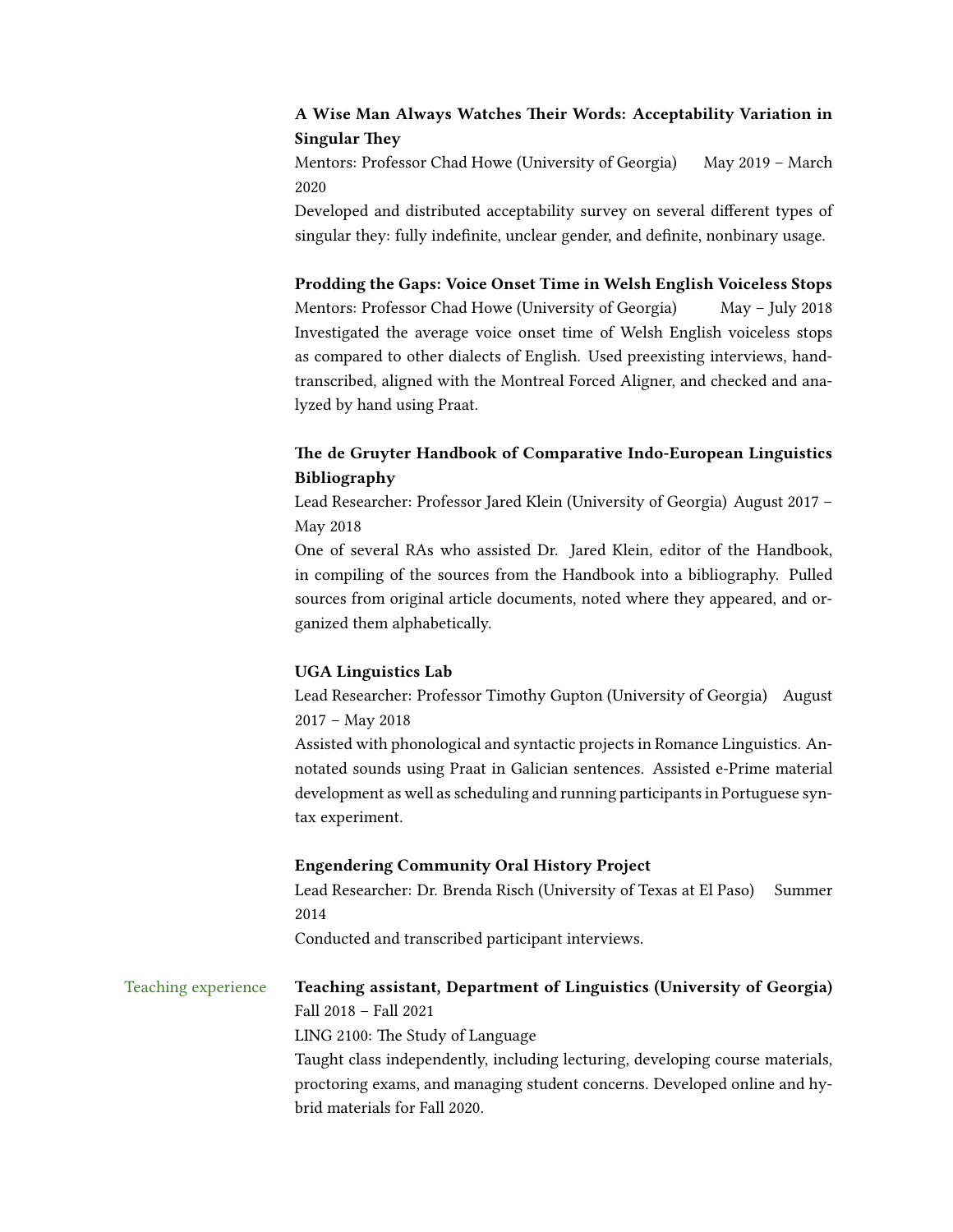### A Wise Man Always Watches Their Words: Acceptability Variation in **Singular They**

Mentors: Professor Chad Howe (University of Georgia) May 2019 - March 2020

Developed and distributed acceptability survey on several different types of singular they: fully indefinite, unclear gender, and definite, nonbinary usage.

#### Prodding the Gaps: Voice Onset Time in Welsh English Voiceless Stops

Mentors: Professor Chad Howe (University of Georgia) May - July 2018 Investigated the average voice onset time of Welsh English voiceless stops as compared to other dialects of English. Used preexisting interviews, handtranscribed, aligned with the Montreal Forced Aligner, and checked and analyzed by hand using Praat.

## The de Gruyter Handbook of Comparative Indo-European Linguistics Bibliography

Lead Researcher: Professor Jared Klein (University of Georgia) August 2017 – May 2018

One of several RAs who assisted Dr. Jared Klein, editor of the Handbook, in compiling of the sources from the Handbook into a bibliography. Pulled sources from original article documents, noted where they appeared, and organized them alphabetically.

#### UGA Linguistics Lab

Lead Researcher: Professor Timothy Gupton (University of Georgia) August 2017 – May 2018

Assisted with phonological and syntactic projects in Romance Linguistics. Annotated sounds using Praat in Galician sentences. Assisted e-Prime material development as well as scheduling and running participants in Portuguese syntax experiment.

#### Engendering Community Oral History Project

Lead Researcher: Dr. Brenda Risch (University of Texas at El Paso) Summer 2014

Conducted and transcribed participant interviews.

# Teaching experience Teaching assistant, Department of Linguistics (University of Georgia) Fall 2018 – Fall 2021 LING 2100: The Study of Language Taught class independently, including lecturing, developing course materials,

proctoring exams, and managing student concerns. Developed online and hybrid materials for Fall 2020.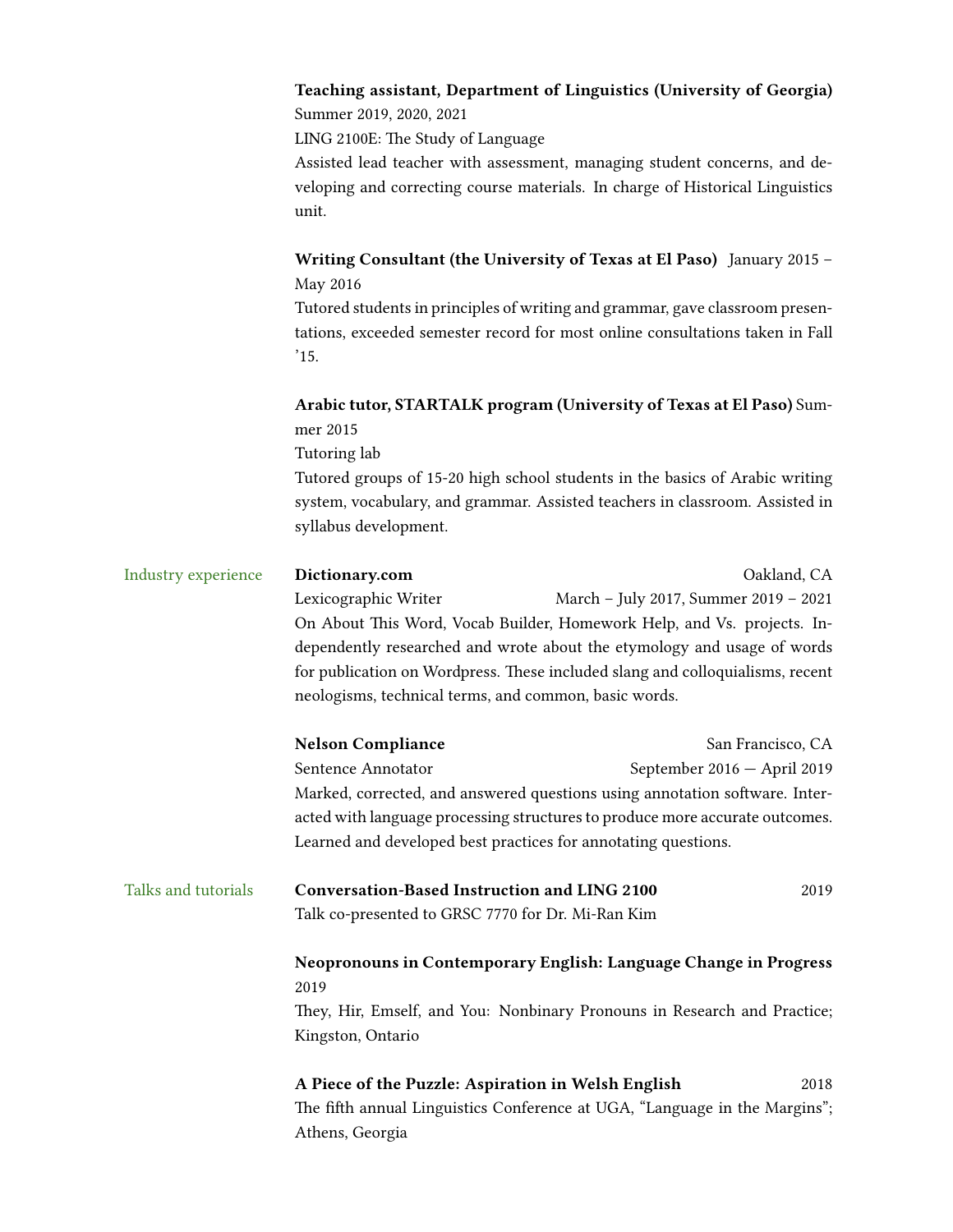| Teaching assistant, Department of Linguistics (University of Georgia) |
|-----------------------------------------------------------------------|
| Summer 2019, 2020, 2021                                               |

LING 2100E: The Study of Language

Assisted lead teacher with assessment, managing student concerns, and developing and correcting course materials. In charge of Historical Linguistics unit.

Writing Consultant (the University of Texas at El Paso) January 2015 – May 2016

Tutored students in principles of writing and grammar, gave classroom presentations, exceeded semester record for most online consultations taken in Fall  $'15.$ 

# Arabic tutor, STARTALK program (University of Texas at El Paso) Summer 2015

Tutoring lab

Tutored groups of 15-20 high school students in the basics of Arabic writing system, vocabulary, and grammar. Assisted teachers in classroom. Assisted in syllabus development.

| Industry experience                                                       | Dictionary.com                                                                                                                                                                                                                                                                               | Oakland, CA                                                    |                                                                  |  |                          |                             |
|---------------------------------------------------------------------------|----------------------------------------------------------------------------------------------------------------------------------------------------------------------------------------------------------------------------------------------------------------------------------------------|----------------------------------------------------------------|------------------------------------------------------------------|--|--------------------------|-----------------------------|
|                                                                           | Lexicographic Writer                                                                                                                                                                                                                                                                         | March - July 2017, Summer 2019 - 2021                          |                                                                  |  |                          |                             |
|                                                                           | On About This Word, Vocab Builder, Homework Help, and Vs. projects. In-<br>dependently researched and wrote about the etymology and usage of words<br>for publication on Wordpress. These included slang and colloquialisms, recent<br>neologisms, technical terms, and common, basic words. |                                                                |                                                                  |  |                          |                             |
|                                                                           |                                                                                                                                                                                                                                                                                              |                                                                |                                                                  |  |                          |                             |
|                                                                           |                                                                                                                                                                                                                                                                                              |                                                                |                                                                  |  | <b>Nelson Compliance</b> | San Francisco, CA           |
|                                                                           |                                                                                                                                                                                                                                                                                              |                                                                |                                                                  |  | Sentence Annotator       | September 2016 - April 2019 |
|                                                                           | Marked, corrected, and answered questions using annotation software. Inter-                                                                                                                                                                                                                  |                                                                |                                                                  |  |                          |                             |
|                                                                           | acted with language processing structures to produce more accurate outcomes.                                                                                                                                                                                                                 |                                                                |                                                                  |  |                          |                             |
|                                                                           |                                                                                                                                                                                                                                                                                              | Learned and developed best practices for annotating questions. |                                                                  |  |                          |                             |
|                                                                           | Talks and tutorials                                                                                                                                                                                                                                                                          | Conversation-Based Instruction and LING 2100                   | 2019                                                             |  |                          |                             |
|                                                                           |                                                                                                                                                                                                                                                                                              | Talk co-presented to GRSC 7770 for Dr. Mi-Ran Kim              |                                                                  |  |                          |                             |
|                                                                           |                                                                                                                                                                                                                                                                                              |                                                                | Neopronouns in Contemporary English: Language Change in Progress |  |                          |                             |
| 2019                                                                      |                                                                                                                                                                                                                                                                                              |                                                                |                                                                  |  |                          |                             |
| They, Hir, Emself, and You: Nonbinary Pronouns in Research and Practice;  |                                                                                                                                                                                                                                                                                              |                                                                |                                                                  |  |                          |                             |
| Kingston, Ontario                                                         |                                                                                                                                                                                                                                                                                              |                                                                |                                                                  |  |                          |                             |
| A Piece of the Puzzle: Aspiration in Welsh English                        |                                                                                                                                                                                                                                                                                              | 2018                                                           |                                                                  |  |                          |                             |
| The fifth annual Linguistics Conference at LIGA "Language in the Margins" |                                                                                                                                                                                                                                                                                              |                                                                |                                                                  |  |                          |                             |

The fifth annual Linguistics Conference at UGA, "Language in the Margins"; Athens, Georgia